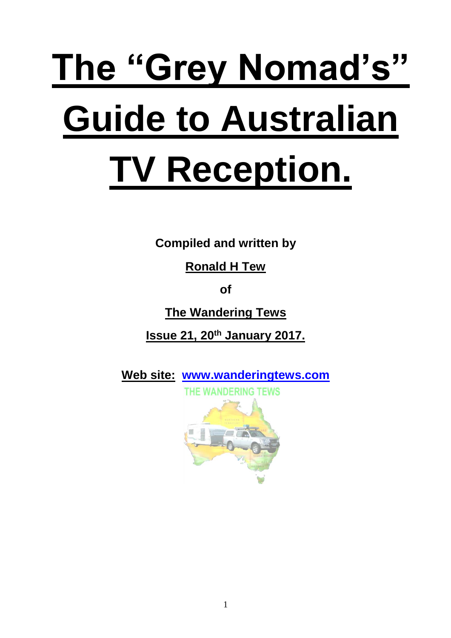# **The "Grey Nomad's" Guide to Australian TV Reception.**

**Compiled and written by** 

**Ronald H Tew**

**of** 

**The Wandering Tews**

**Issue 21, 20th January 2017.**

**Web site: www.wanderingtews.com**

THE WANDERING TEWS

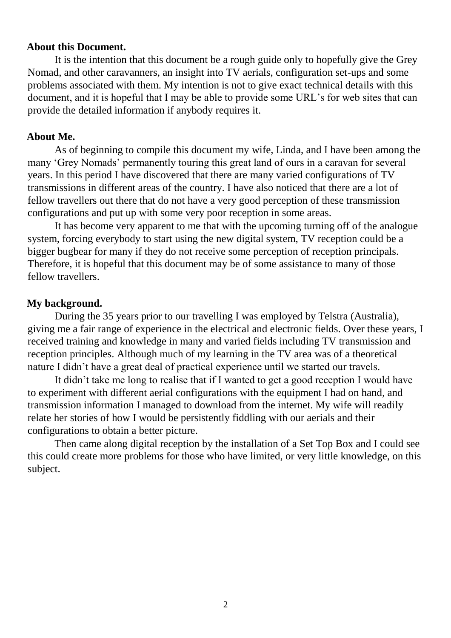#### **About this Document.**

It is the intention that this document be a rough guide only to hopefully give the Grey Nomad, and other caravanners, an insight into TV aerials, configuration set-ups and some problems associated with them. My intention is not to give exact technical details with this document, and it is hopeful that I may be able to provide some URL's for web sites that can provide the detailed information if anybody requires it.

#### **About Me.**

As of beginning to compile this document my wife, Linda, and I have been among the many 'Grey Nomads' permanently touring this great land of ours in a caravan for several years. In this period I have discovered that there are many varied configurations of TV transmissions in different areas of the country. I have also noticed that there are a lot of fellow travellers out there that do not have a very good perception of these transmission configurations and put up with some very poor reception in some areas.

It has become very apparent to me that with the upcoming turning off of the analogue system, forcing everybody to start using the new digital system, TV reception could be a bigger bugbear for many if they do not receive some perception of reception principals. Therefore, it is hopeful that this document may be of some assistance to many of those fellow travellers.

#### **My background.**

During the 35 years prior to our travelling I was employed by Telstra (Australia), giving me a fair range of experience in the electrical and electronic fields. Over these years, I received training and knowledge in many and varied fields including TV transmission and reception principles. Although much of my learning in the TV area was of a theoretical nature I didn't have a great deal of practical experience until we started our travels.

It didn't take me long to realise that if I wanted to get a good reception I would have to experiment with different aerial configurations with the equipment I had on hand, and transmission information I managed to download from the internet. My wife will readily relate her stories of how I would be persistently fiddling with our aerials and their configurations to obtain a better picture.

Then came along digital reception by the installation of a Set Top Box and I could see this could create more problems for those who have limited, or very little knowledge, on this subject.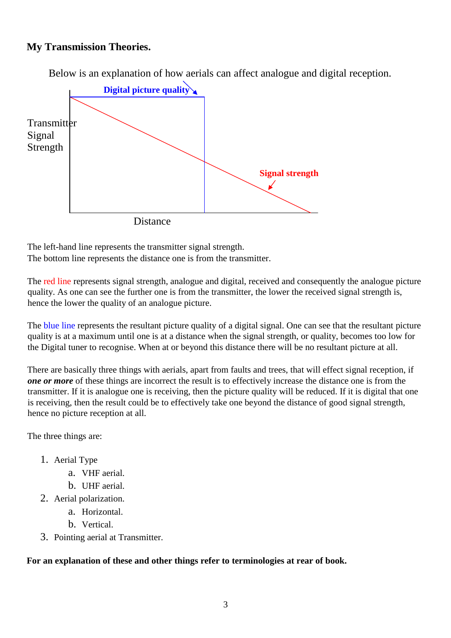### **My Transmission Theories.**

Below is an explanation of how aerials can affect analogue and digital reception.



The left-hand line represents the transmitter signal strength. The bottom line represents the distance one is from the transmitter.

The red line represents signal strength, analogue and digital, received and consequently the analogue picture quality. As one can see the further one is from the transmitter, the lower the received signal strength is, hence the lower the quality of an analogue picture.

The blue line represents the resultant picture quality of a digital signal. One can see that the resultant picture quality is at a maximum until one is at a distance when the signal strength, or quality, becomes too low for the Digital tuner to recognise. When at or beyond this distance there will be no resultant picture at all.

There are basically three things with aerials, apart from faults and trees, that will effect signal reception, if *one or more* of these things are incorrect the result is to effectively increase the distance one is from the transmitter. If it is analogue one is receiving, then the picture quality will be reduced. If it is digital that one is receiving, then the result could be to effectively take one beyond the distance of good signal strength, hence no picture reception at all.

The three things are:

- 1. Aerial Type
	- a. VHF aerial.
	- b. UHF aerial.
- 2. Aerial polarization.
	- a. Horizontal.
	- b. Vertical.
- 3. Pointing aerial at Transmitter.

#### **For an explanation of these and other things refer to terminologies at rear of book.**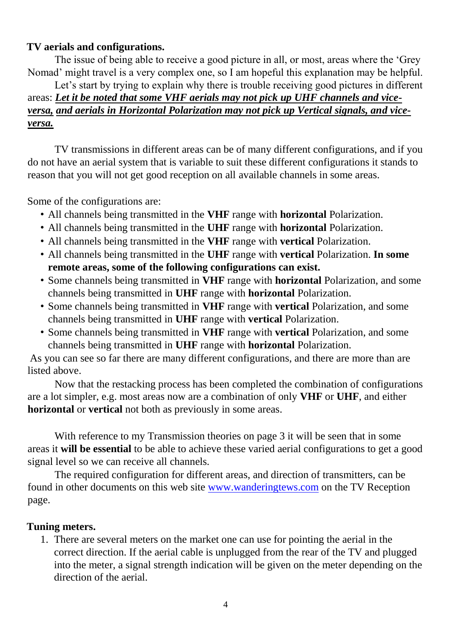## **TV aerials and configurations.**

The issue of being able to receive a good picture in all, or most, areas where the 'Grey Nomad' might travel is a very complex one, so I am hopeful this explanation may be helpful.

Let's start by trying to explain why there is trouble receiving good pictures in different areas: *Let it be noted that some VHF aerials may not pick up UHF channels and viceversa, and aerials in Horizontal Polarization may not pick up Vertical signals, and viceversa.*

TV transmissions in different areas can be of many different configurations, and if you do not have an aerial system that is variable to suit these different configurations it stands to reason that you will not get good reception on all available channels in some areas.

Some of the configurations are:

- All channels being transmitted in the **VHF** range with **horizontal** Polarization.
- All channels being transmitted in the **UHF** range with **horizontal** Polarization.
- All channels being transmitted in the **VHF** range with **vertical** Polarization.
- All channels being transmitted in the **UHF** range with **vertical** Polarization. **In some remote areas, some of the following configurations can exist.**
- Some channels being transmitted in **VHF** range with **horizontal** Polarization, and some channels being transmitted in **UHF** range with **horizontal** Polarization.
- Some channels being transmitted in **VHF** range with **vertical** Polarization, and some channels being transmitted in **UHF** range with **vertical** Polarization.
- Some channels being transmitted in **VHF** range with **vertical** Polarization, and some channels being transmitted in **UHF** range with **horizontal** Polarization.

As you can see so far there are many different configurations, and there are more than are listed above.

Now that the restacking process has been completed the combination of configurations are a lot simpler, e.g. most areas now are a combination of only **VHF** or **UHF**, and either **horizontal** or **vertical** not both as previously in some areas.

With reference to my Transmission theories on page 3 it will be seen that in some areas it **will be essential** to be able to achieve these varied aerial configurations to get a good signal level so we can receive all channels.

The required configuration for different areas, and direction of transmitters, can be found in other documents on this web site www.wanderingtews.com on the TV Reception page.

## **Tuning meters.**

1. There are several meters on the market one can use for pointing the aerial in the correct direction. If the aerial cable is unplugged from the rear of the TV and plugged into the meter, a signal strength indication will be given on the meter depending on the direction of the aerial.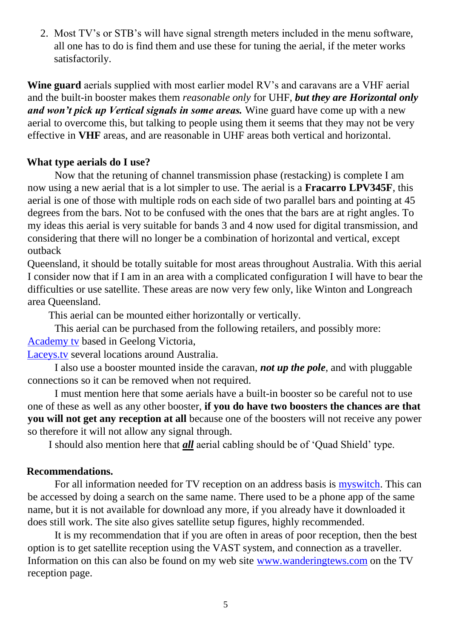2. Most TV's or STB's will have signal strength meters included in the menu software, all one has to do is find them and use these for tuning the aerial, if the meter works satisfactorily.

**Wine guard** aerials supplied with most earlier model RV's and caravans are a VHF aerial and the built-in booster makes them *reasonable only* for UHF, *but they are Horizontal only and won't pick up Vertical signals in some areas.* Wine guard have come up with a new aerial to overcome this, but talking to people using them it seems that they may not be very effective in **VHF** areas, and are reasonable in UHF areas both vertical and horizontal.

## **What type aerials do I use?**

Now that the retuning of channel transmission phase (restacking) is complete I am now using a new aerial that is a lot simpler to use. The aerial is a **Fracarro LPV345F**, this aerial is one of those with multiple rods on each side of two parallel bars and pointing at 45 degrees from the bars. Not to be confused with the ones that the bars are at right angles. To my ideas this aerial is very suitable for bands 3 and 4 now used for digital transmission, and considering that there will no longer be a combination of horizontal and vertical, except outback

Queensland, it should be totally suitable for most areas throughout Australia. With this aerial I consider now that if I am in an area with a complicated configuration I will have to bear the difficulties or use satellite. These areas are now very few only, like Winton and Longreach area Queensland.

This aerial can be mounted either horizontally or vertically.

This aerial can be purchased from the following retailers, and possibly more: Academy tv based in Geelong Victoria,

Laceys.tv several locations around Australia.

I also use a booster mounted inside the caravan, *not up the pole*, and with pluggable connections so it can be removed when not required.

I must mention here that some aerials have a built-in booster so be careful not to use one of these as well as any other booster, **if you do have two boosters the chances are that you will not get any reception at all** because one of the boosters will not receive any power so therefore it will not allow any signal through.

I should also mention here that *all* aerial cabling should be of 'Quad Shield' type.

## **Recommendations.**

For all information needed for TV reception on an address basis is myswitch. This can be accessed by doing a search on the same name. There used to be a phone app of the same name, but it is not available for download any more, if you already have it downloaded it does still work. The site also gives satellite setup figures, highly recommended.

It is my recommendation that if you are often in areas of poor reception, then the best option is to get satellite reception using the VAST system, and connection as a traveller. Information on this can also be found on my web site www.wanderingtews.com on the TV reception page.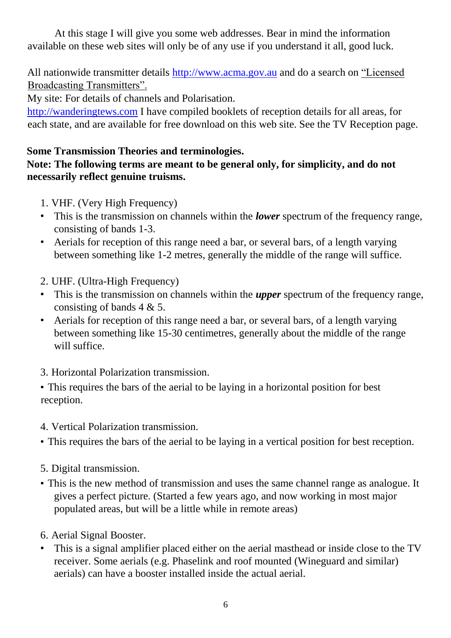At this stage I will give you some web addresses. Bear in mind the information available on these web sites will only be of any use if you understand it all, good luck.

All nationwide transmitter details http://www.acma.gov.au and do a search on "Licensed Broadcasting Transmitters".

My site: For details of channels and Polarisation.

http://wanderingtews.com I have compiled booklets of reception details for all areas, for each state, and are available for free download on this web site. See the TV Reception page.

# **Some Transmission Theories and terminologies.**

# **Note: The following terms are meant to be general only, for simplicity, and do not necessarily reflect genuine truisms.**

- 1. VHF. (Very High Frequency)
- This is the transmission on channels within the *lower* spectrum of the frequency range, consisting of bands 1-3.
- Aerials for reception of this range need a bar, or several bars, of a length varying between something like 1-2 metres, generally the middle of the range will suffice.
- 2. UHF. (Ultra-High Frequency)
- This is the transmission on channels within the *upper* spectrum of the frequency range, consisting of bands 4 & 5.
- Aerials for reception of this range need a bar, or several bars, of a length varying between something like 15-30 centimetres, generally about the middle of the range will suffice.
- 3. Horizontal Polarization transmission.

• This requires the bars of the aerial to be laying in a horizontal position for best reception.

- 4. Vertical Polarization transmission.
- This requires the bars of the aerial to be laying in a vertical position for best reception.
- 5. Digital transmission.
- This is the new method of transmission and uses the same channel range as analogue. It gives a perfect picture. (Started a few years ago, and now working in most major populated areas, but will be a little while in remote areas)
- 6. Aerial Signal Booster.
- This is a signal amplifier placed either on the aerial masthead or inside close to the TV receiver. Some aerials (e.g. Phaselink and roof mounted (Wineguard and similar) aerials) can have a booster installed inside the actual aerial.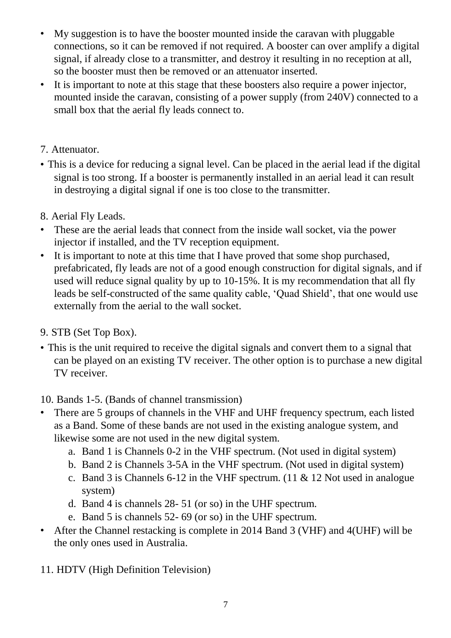- My suggestion is to have the booster mounted inside the caravan with pluggable connections, so it can be removed if not required. A booster can over amplify a digital signal, if already close to a transmitter, and destroy it resulting in no reception at all, so the booster must then be removed or an attenuator inserted.
- It is important to note at this stage that these boosters also require a power injector, mounted inside the caravan, consisting of a power supply (from 240V) connected to a small box that the aerial fly leads connect to.

# 7. Attenuator.

- This is a device for reducing a signal level. Can be placed in the aerial lead if the digital signal is too strong. If a booster is permanently installed in an aerial lead it can result in destroying a digital signal if one is too close to the transmitter.
- 8. Aerial Fly Leads.
- These are the aerial leads that connect from the inside wall socket, via the power injector if installed, and the TV reception equipment.
- It is important to note at this time that I have proved that some shop purchased, prefabricated, fly leads are not of a good enough construction for digital signals, and if used will reduce signal quality by up to 10-15%. It is my recommendation that all fly leads be self-constructed of the same quality cable, 'Quad Shield', that one would use externally from the aerial to the wall socket.
- 9. STB (Set Top Box).
- This is the unit required to receive the digital signals and convert them to a signal that can be played on an existing TV receiver. The other option is to purchase a new digital TV receiver.
- 10. Bands 1-5. (Bands of channel transmission)
- There are 5 groups of channels in the VHF and UHF frequency spectrum, each listed as a Band. Some of these bands are not used in the existing analogue system, and likewise some are not used in the new digital system.
	- a. Band 1 is Channels 0-2 in the VHF spectrum. (Not used in digital system)
	- b. Band 2 is Channels 3-5A in the VHF spectrum. (Not used in digital system)
	- c. Band 3 is Channels 6-12 in the VHF spectrum. (11 & 12 Not used in analogue system)
	- d. Band 4 is channels 28- 51 (or so) in the UHF spectrum.
	- e. Band 5 is channels 52- 69 (or so) in the UHF spectrum.
- After the Channel restacking is complete in 2014 Band 3 (VHF) and 4(UHF) will be the only ones used in Australia.
- 11. HDTV (High Definition Television)